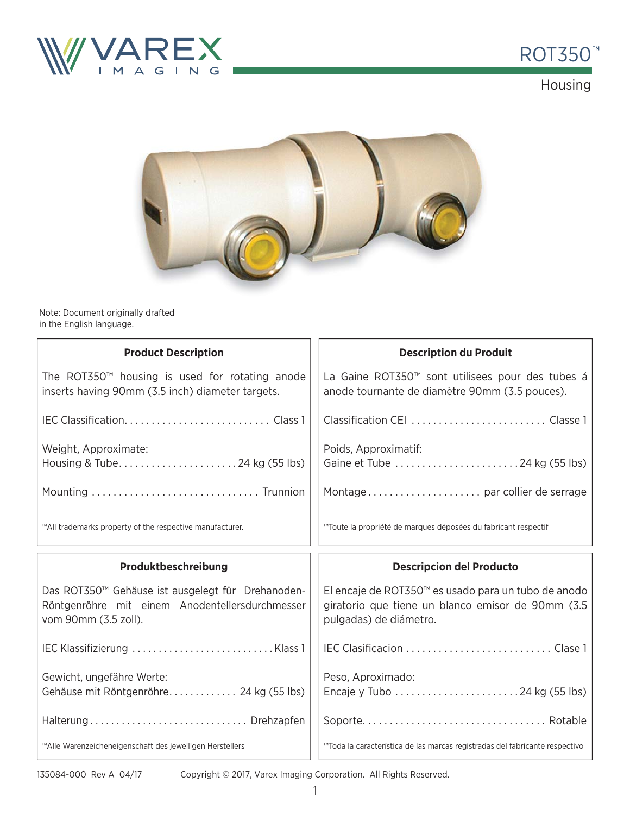



Housing



Note: Document originally drafted in the English language.

| <b>Product Description</b>                                                                                                   | <b>Description du Produit</b>                                                                                                      |  |
|------------------------------------------------------------------------------------------------------------------------------|------------------------------------------------------------------------------------------------------------------------------------|--|
| The ROT350 <sup>™</sup> housing is used for rotating anode<br>inserts having 90mm (3.5 inch) diameter targets.               | La Gaine ROT350™ sont utilisees pour des tubes á<br>anode tournante de diamètre 90mm (3.5 pouces).                                 |  |
|                                                                                                                              |                                                                                                                                    |  |
| Weight, Approximate:<br>Housing & Tube24 kg (55 lbs)                                                                         | Poids, Approximatif:                                                                                                               |  |
|                                                                                                                              |                                                                                                                                    |  |
| ™All trademarks property of the respective manufacturer.                                                                     | ™Toute la propriété de marques déposées du fabricant respectif                                                                     |  |
|                                                                                                                              |                                                                                                                                    |  |
| Produktbeschreibung                                                                                                          | <b>Descripcion del Producto</b>                                                                                                    |  |
| Das ROT350™ Gehäuse ist ausgelegt für Drehanoden-<br>Röntgenröhre mit einem Anodentellersdurchmesser<br>vom 90mm (3.5 zoll). | El encaje de ROT350™ es usado para un tubo de anodo<br>giratorio que tiene un blanco emisor de 90mm (3.5<br>pulgadas) de diámetro. |  |
|                                                                                                                              |                                                                                                                                    |  |
| Gewicht, ungefähre Werte:<br>Gehäuse mit Röntgenröhre 24 kg (55 lbs)                                                         | Peso, Aproximado:                                                                                                                  |  |
| Halterung Drehzapfen                                                                                                         |                                                                                                                                    |  |

135084-000 Rev A 04/17

Copyright © 2017, Varex Imaging Corporation. All Rights Reserved.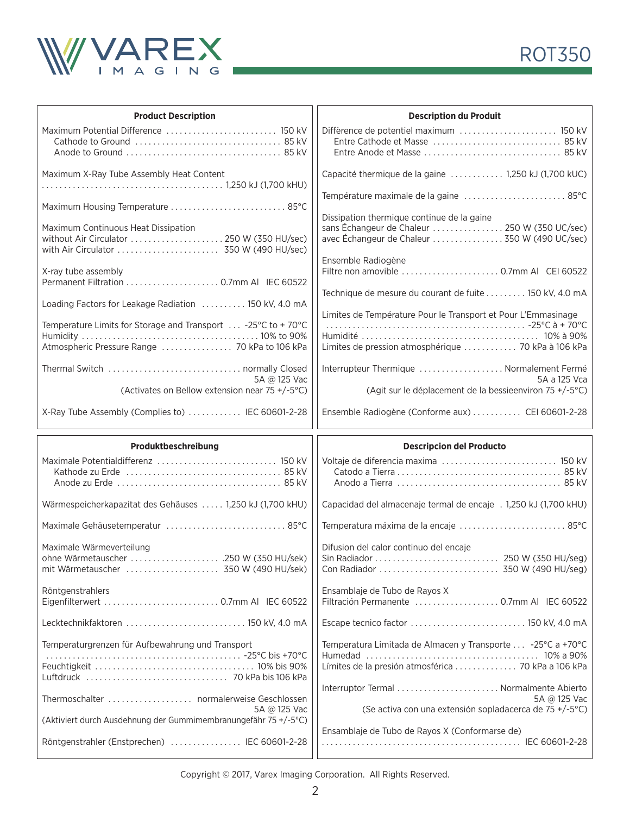



| <b>Product Description</b>                                                                                    | <b>Description du Produit</b>                                                                                                                                      |  |
|---------------------------------------------------------------------------------------------------------------|--------------------------------------------------------------------------------------------------------------------------------------------------------------------|--|
| Maximum Potential Difference  150 kV                                                                          |                                                                                                                                                                    |  |
| Maximum X-Ray Tube Assembly Heat Content                                                                      | Capacité thermique de la gaine  1,250 kJ (1,700 kUC)                                                                                                               |  |
| Maximum Housing Temperature  85°C                                                                             | Température maximale de la gaine  85°C                                                                                                                             |  |
| Maximum Continuous Heat Dissipation<br>without Air Circulator  250 W (350 HU/sec)                             | Dissipation thermique continue de la gaine<br>sans Échangeur de Chaleur  250 W (350 UC/sec)<br>avec Échangeur de Chaleur  350 W (490 UC/sec)<br>Ensemble Radiogène |  |
| X-ray tube assembly<br>Permanent Filtration  0.7mm AI IEC 60522                                               |                                                                                                                                                                    |  |
| Loading Factors for Leakage Radiation  150 kV, 4.0 mA                                                         | Technique de mesure du courant de fuite 150 kV, 4.0 mA                                                                                                             |  |
| Temperature Limits for Storage and Transport  -25°C to +70°C<br>Atmospheric Pressure Range  70 kPa to 106 kPa | Limites de Température Pour le Transport et Pour L'Emmasinage<br>Limites de pression atmosphérique  70 kPa à 106 kPa                                               |  |
| 5A @ 125 Vac                                                                                                  | Interrupteur Thermique  Normalement Fermé<br>5A a 125 Vca                                                                                                          |  |
| (Activates on Bellow extension near 75 +/-5°C)                                                                | (Agit sur le déplacement de la bessieenviron 75 +/-5°C)                                                                                                            |  |
| X-Ray Tube Assembly (Complies to)  IEC 60601-2-28                                                             | Ensemble Radiogène (Conforme aux)  CEI 60601-2-28                                                                                                                  |  |
|                                                                                                               |                                                                                                                                                                    |  |
| Produktbeschreibung                                                                                           | <b>Descripcion del Producto</b>                                                                                                                                    |  |
|                                                                                                               | Voltaje de diferencia maxima  150 kV                                                                                                                               |  |
| Wärmespeicherkapazitat des Gehäuses  1,250 kJ (1,700 kHU)                                                     | Capacidad del almacenaje termal de encaje . 1,250 kJ (1,700 kHU)                                                                                                   |  |
| Maximale Gehäusetemperatur  85°C                                                                              | Temperatura máxima de la encaje  85°C                                                                                                                              |  |
| Maximale Wärmeverteilung<br>ohne Wärmetauscher 250 W (350 HU/sek)<br>mit Wärmetauscher  350 W (490 HU/sek)    | Difusion del calor continuo del encaje                                                                                                                             |  |
| Röntgenstrahlers                                                                                              | Ensamblaje de Tubo de Rayos X                                                                                                                                      |  |
| Lecktechnikfaktoren  150 kV, 4.0 mA                                                                           | Escape tecnico factor  150 kV, 4.0 mA                                                                                                                              |  |
| Temperaturgrenzen für Aufbewahrung und Transport                                                              | Temperatura Limitada de Almacen y Transporte  -25°C a +70°C<br>Límites de la presión atmosférica  70 kPa a 106 kPa                                                 |  |
| Thermoschalter  normalerweise Geschlossen                                                                     | 5A @ 125 Vac                                                                                                                                                       |  |
| 5A @ 125 Vac<br>(Aktiviert durch Ausdehnung der Gummimembranungefähr 75 +/-5°C)                               | (Se activa con una extensión sopladacerca de 75 +/-5°C)                                                                                                            |  |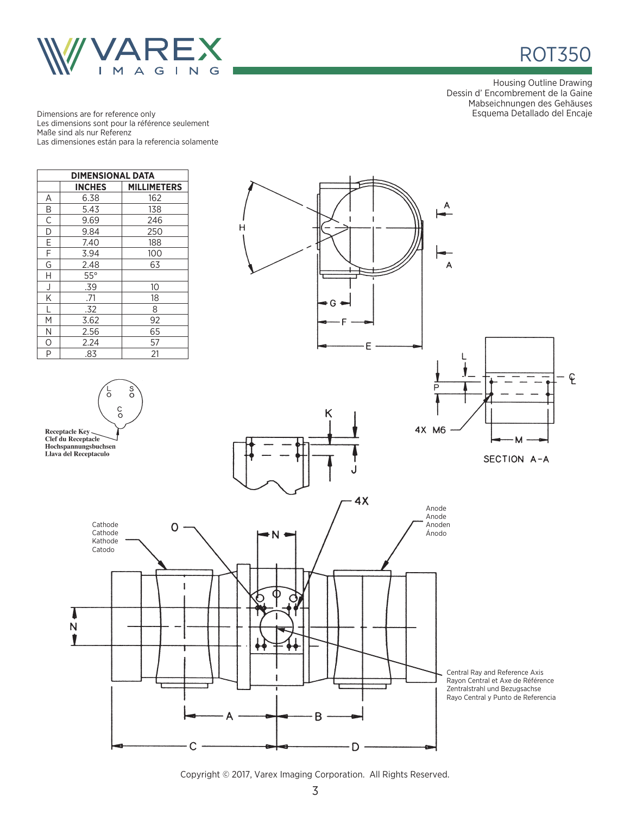



Housing Outline Drawing Dessin d' Encombrement de la Gaine Mabseichnungen des Gehäuses Esquema Detallado del Encaje

Dimensions are for reference only Les dimensions sont pour la référence seulement Maße sind als nur Referenz Las dimensiones están para la referencia solamente



Copyright © 2017, Varex Imaging Corporation. All Rights Reserved.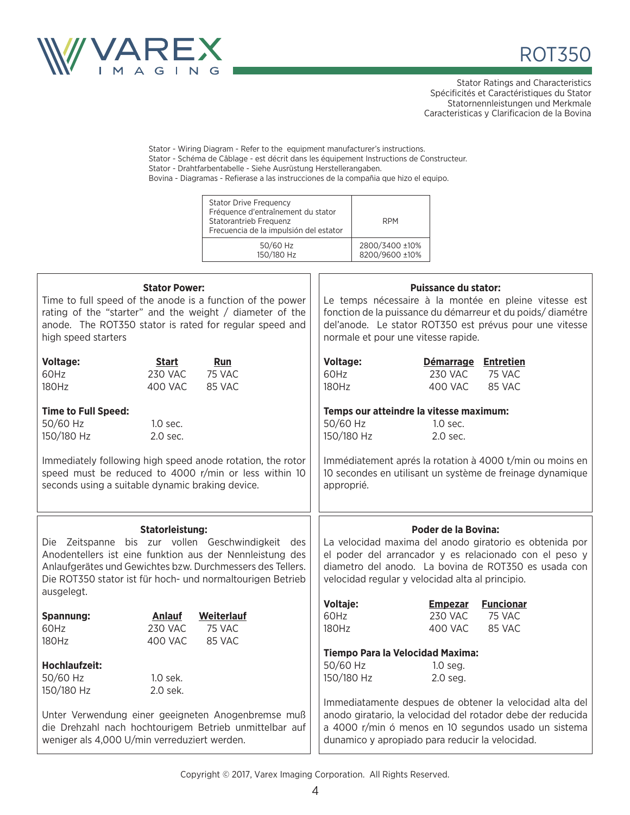



Stator Ratings and Characteristics Spécificités et Caractéristiques du Stator Statornennleistungen und Merkmale Caracteristicas y Clarificacion de la Bovina

Stator - Wiring Diagram - Refer to the equipment manufacturer's instructions. Stator - Schéma de Câblage - est décrit dans les équipement Instructions de Constructeur.

Stator - Drahtfarbentabelle - Siehe Ausrüstung Herstellerangaben.

Bovina - Diagramas - Refierase a las instrucciones de la compañia que hizo el equipo.

| <b>Stator Drive Frequency</b><br>Fréquence d'entraînement du stator<br>Statorantrieb Frequenz<br>Frecuencia de la impulsión del estator | <b>RPM</b>     |
|-----------------------------------------------------------------------------------------------------------------------------------------|----------------|
| 50/60 Hz                                                                                                                                | 2800/3400 ±10% |
| 150/180 Hz                                                                                                                              | 8200/9600 ±10% |

| <b>Stator Power:</b><br>Time to full speed of the anode is a function of the power<br>rating of the "starter" and the weight / diameter of the<br>anode. The ROT350 stator is rated for regular speed and<br>high speed starters                        |                                                   |                                                                                                                                                                                                                                           | <b>Puissance du stator:</b><br>Le temps nécessaire à la montée en pleine vitesse est<br>fonction de la puissance du démarreur et du poids/diamétre<br>del'anode. Le stator ROT350 est prévus pour une vitesse<br>normale et pour une vitesse rapide.        |  |
|---------------------------------------------------------------------------------------------------------------------------------------------------------------------------------------------------------------------------------------------------------|---------------------------------------------------|-------------------------------------------------------------------------------------------------------------------------------------------------------------------------------------------------------------------------------------------|-------------------------------------------------------------------------------------------------------------------------------------------------------------------------------------------------------------------------------------------------------------|--|
| <b>Voltage:</b><br>60Hz<br>180Hz                                                                                                                                                                                                                        | <b>Start</b><br><b>230 VAC</b><br>400 VAC         | Run<br>75 VAC<br>85 VAC                                                                                                                                                                                                                   | <b>Voltage:</b><br>Démarrage Entretien<br>75 VAC<br><b>230 VAC</b><br>60Hz<br>180Hz<br><b>400 VAC</b><br>85 VAC                                                                                                                                             |  |
| <b>Time to Full Speed:</b><br>50/60 Hz<br>1.0 sec.<br>150/180 Hz<br>2.0 sec.<br>Immediately following high speed anode rotation, the rotor<br>speed must be reduced to 4000 r/min or less within 10<br>seconds using a suitable dynamic braking device. |                                                   |                                                                                                                                                                                                                                           | Temps our atteindre la vitesse maximum:<br>50/60 Hz<br>$1.0$ sec.<br>150/180 Hz<br>2.0 sec.<br>Immédiatement aprés la rotation à 4000 t/min ou moins en<br>10 secondes en utilisant un système de freinage dynamique<br>approprié.                          |  |
|                                                                                                                                                                                                                                                         |                                                   |                                                                                                                                                                                                                                           |                                                                                                                                                                                                                                                             |  |
| ausgelegt.                                                                                                                                                                                                                                              | <b>Statorleistung:</b>                            | Die Zeitspanne bis zur vollen Geschwindigkeit des<br>Anodentellers ist eine funktion aus der Nennleistung des<br>Anlaufgerätes und Gewichtes bzw. Durchmessers des Tellers.<br>Die ROT350 stator ist für hoch- und normaltourigen Betrieb | <b>Poder de la Bovina:</b><br>La velocidad maxima del anodo giratorio es obtenida por<br>el poder del arrancador y es relacionado con el peso y<br>diametro del anodo. La bovina de ROT350 es usada con<br>velocidad regular y velocidad alta al principio. |  |
| Spannung:<br>60Hz<br>180Hz                                                                                                                                                                                                                              | <b>Anlauf</b><br><b>230 VAC</b><br><b>400 VAC</b> | Weiterlauf<br>75 VAC<br>85 VAC                                                                                                                                                                                                            | Voltaje:<br><b>Funcionar</b><br><b>Empezar</b><br>75 VAC<br>60Hz<br><b>230 VAC</b><br>180Hz<br>85 VAC<br><b>400 VAC</b>                                                                                                                                     |  |
| <b>Hochlaufzeit:</b><br>50/60 Hz<br>150/180 Hz                                                                                                                                                                                                          | 1.0 sek.<br>2.0 sek.                              | Unter Verwendung einer geeigneten Anogenbremse muß                                                                                                                                                                                        | Tiempo Para la Velocidad Maxima:<br>50/60 Hz<br>1.0 seg.<br>150/180 Hz<br>2.0 seg.<br>Immediatamente despues de obtener la velocidad alta del<br>anodo giratario, la velocidad del rotador debe der reducida                                                |  |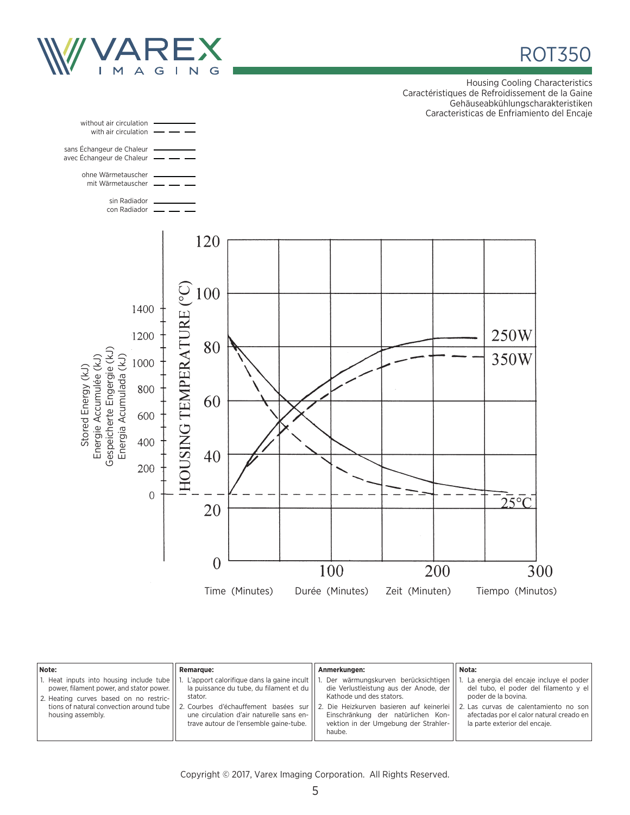

ROT350

Housing Cooling Characteristics Caractéristiques de Refroidissement de la Gaine Gehäuseabkühlungscharakteristiken Caracteristicas de Enfriamiento del Encaje



| Note:                                                                                                                                                                                              | <b>Remarque:</b>                                                                                                                                                                                                                | Anmerkungen:                                                                                                                                                                                                                                                                         | Nota:                                                                                                                                                                               |
|----------------------------------------------------------------------------------------------------------------------------------------------------------------------------------------------------|---------------------------------------------------------------------------------------------------------------------------------------------------------------------------------------------------------------------------------|--------------------------------------------------------------------------------------------------------------------------------------------------------------------------------------------------------------------------------------------------------------------------------------|-------------------------------------------------------------------------------------------------------------------------------------------------------------------------------------|
| 1. Heat inputs into housing include tube<br>power, filament power, and stator power.<br>2. Heating curves based on no restric-<br>tions of natural convection around tube    <br>housing assembly. | L'apport calorifique dans la gaine incult  <br>la puissance du tube, du filament et du<br>stator.<br>2. Courbes d'échauffement basées sur<br>une circulation d'air naturelle sans en-<br>trave autour de l'ensemble gaine-tube. | Der wärmungskurven berücksichtigen<br>die Verlustleistung aus der Anode, der<br>Kathode und des stators.<br>2. Die Heizkurven basieren auf keinerlei 12. Las curvas de calentamiento no son<br>Einschränkung der natürlichen Kon-<br>vektion in der Umgebung der Strahler-<br>haube. | La energia del encaje incluye el poder<br>del tubo, el poder del filamento y el<br>poder de la bovina.<br>afectadas por el calor natural creado en<br>la parte exterior del encaje. |

Copyright © 2017, Varex Imaging Corporation. All Rights Reserved.